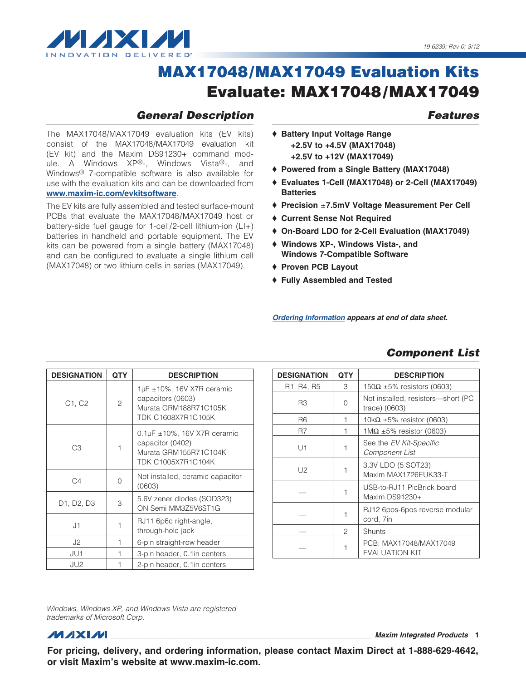

## *General Description*

The MAX17048/MAX17049 evaluation kits (EV kits) consist of the MAX17048/MAX17049 evaluation kit (EV kit) and the Maxim DS91230+ command module. A Windows  $XP^{\circledR}$ -, Windows Vista<sup>®</sup>-, and Windows<sup>®</sup> 7-compatible software is also available for use with the evaluation kits and can be downloaded from www.maxim-ic.com/evkitsoftware.

The EV kits are fully assembled and tested surface-mount PCBs that evaluate the MAX17048/MAX17049 host or battery-side fuel gauge for 1-cell/2-cell lithium-ion (LI+) batteries in handheld and portable equipment. The EV kits can be powered from a single battery (MAX17048) and can be configured to evaluate a single lithium cell (MAX17048) or two lithium cells in series (MAX17049).

### *Features*

- ◆ Battery Input Voltage Range +2.5V to +4.5V (MAX17048) +2.5V to +12V (MAX17049)
- ♦ Powered from a Single Battery (MAX17048)
- S Evaluates 1-Cell (MAX17048) or 2-Cell (MAX17049) **Batteries**
- $\blacklozenge$  Precision  $\pm$ 7.5mV Voltage Measurement Per Cell
- ♦ Current Sense Not Required
- ♦ On-Board LDO for 2-Cell Evaluation (MAX17049)
- ◆ Windows XP-, Windows Vista-, and Windows 7-Compatible Software
- ◆ Proven PCB Layout
- ◆ Fully Assembled and Tested

*[Ordering Information appears at end of data sheet.](#page-8-0)*

| <b>DESIGNATION</b> | <b>QTY</b>     | <b>DESCRIPTION</b>                                                                                           |
|--------------------|----------------|--------------------------------------------------------------------------------------------------------------|
| C1, C2             | $\overline{c}$ | $1\mu$ F ± 10%, 16V X7R ceramic<br>capacitors (0603)<br>Murata GRM188R71C105K<br><b>TDK C1608X7R1C105K</b>   |
| CЗ                 | 1              | $0.1 \mu$ F ± 10%, 16V X7R ceramic<br>capacitor (0402)<br>Murata GRM155R71C104K<br><b>TDK C1005X7R1C104K</b> |
| C.4                | 0              | Not installed, ceramic capacitor<br>(0603)                                                                   |
| D1, D2, D3         | 3              | 5.6V zener diodes (SOD323)<br>ON Semi MM3Z5V6ST1G                                                            |
| J <sub>1</sub>     | 1              | RJ11 6p6c right-angle,<br>through-hole jack                                                                  |
| J2                 | 1              | 6-pin straight-row header                                                                                    |
| JU1                | 1              | 3-pin header, 0.1in centers                                                                                  |
| JU2                |                | 2-pin header, 0.1in centers                                                                                  |

#### DESIGNATION QTY DESCRIPTION R1, R4, R5  $\vert$  3  $\vert$  150 $\Omega$  ±5% resistors (0603) R3 0 Not installed, resistors—short (PC trace) (0603) R6 1 10k $\Omega$  ±5% resistor (0603) R7 1 1M $\Omega$  ±5% resistor (0603) U<sub>1</sub> See the *EV Kit-Specific Component List* U2  $1 \begin{array}{|c|c|c|c|} \hline 3.3 & \text{LDO} & 5 & \text{SOT23} \\ \hline \end{array}$ Maxim MAX1726EUK33-T  $\frac{1}{1}$  USB-to-RJ11 PicBrick board Maxim DS91230+ RJ12 6pos-6pos reverse modular cord, 7in 2 | Shunts 1 PCB: MAX17048/MAX17049 EVALUATION KIT

*Windows, Windows XP, and Windows Vista are registered trademarks of Microsoft Corp.*

**MAXIM** 

\_\_\_\_\_\_\_\_\_\_\_\_\_\_\_\_\_\_\_\_\_\_\_\_\_\_\_\_\_\_\_\_\_\_\_\_\_\_\_\_\_\_\_\_\_\_\_\_\_\_\_\_\_\_\_\_\_\_\_\_\_\_\_\_\_ *Maxim Integrated Products* 1

For pricing, delivery, and ordering information, please contact Maxim Direct at 1-888-629-4642, or visit Maxim's website at www.maxim-ic.com.

### *Component List*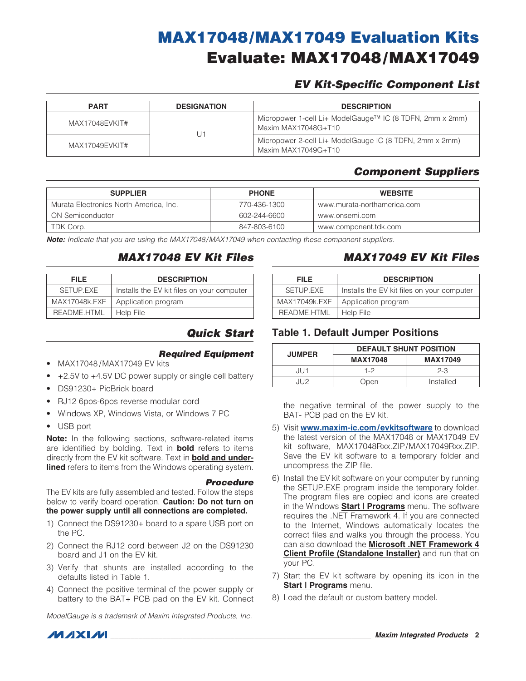# *EV Kit-Specific Component List*

| <b>PART</b>    | <b>DESIGNATION</b> | <b>DESCRIPTION</b>                                                              |
|----------------|--------------------|---------------------------------------------------------------------------------|
| MAX17048EVKIT# |                    | Micropower 1-cell Li+ ModelGauge™ IC (8 TDFN, 2mm x 2mm)<br>Maxim MAX17048G+T10 |
| MAX17049EVKIT# | $U^*$              | Micropower 2-cell Li+ ModelGauge IC (8 TDFN, 2mm x 2mm)<br>Maxim MAX17049G+T10  |

# *Component Suppliers*

| <b>SUPPLIER</b>                        | <b>PHONE</b> | <b>WEBSITE</b>              |
|----------------------------------------|--------------|-----------------------------|
| Murata Electronics North America, Inc. | 770-436-1300 | www.murata-northamerica.com |
| <b>ON Semiconductor</b>                | 602-244-6600 | www.onsemi.com              |
| TDK Corp.                              | 847-803-6100 | www.component.tdk.com       |

*Note: Indicate that you are using the MAX17048/MAX17049 when contacting these component suppliers.*

| <b>FILE</b>   | <b>DESCRIPTION</b>                         |
|---------------|--------------------------------------------|
| SETUP EXE     | Installs the EV kit files on your computer |
| MAX17048k.EXE | Application program                        |
| README.HTML   | Help File                                  |

## *Quick Start*

#### *Required Equipment* MAX17048 / MAX17049 EV kits

- 
- +2.5V to +4.5V DC power supply or single cell battery
- • DS91230+ PicBrick board
- RJ12 6pos-6pos reverse modular cord
- Windows XP, Windows Vista, or Windows 7 PC
- • USB port

Note: In the following sections, software-related items are identified by bolding. Text in **bold** refers to items directly from the EV kit software. Text in **bold and underlined** refers to items from the Windows operating system.

#### *Procedure*

The EV kits are fully assembled and tested. Follow the steps below to verify board operation. Caution: Do not turn on the power supply until all connections are completed.

- 1) Connect the DS91230+ board to a spare USB port on the PC.
- 2) Connect the RJ12 cord between J2 on the DS91230 board and J1 on the EV kit.
- 3) Verify that shunts are installed according to the defaults listed in Table 1.
- 4) Connect the positive terminal of the power supply or battery to the BAT+ PCB pad on the EV kit. Connect

*ModelGauge is a trademark of Maxim Integrated Products, Inc.*

# *MAX17048 EV Kit Files MAX17049 EV Kit Files*

| <b>FILE</b>   | <b>DESCRIPTION</b>                         |
|---------------|--------------------------------------------|
| SETUP FXE     | Installs the EV kit files on your computer |
| MAX17049k.EXE | Application program                        |
| README.HTML   | Help File                                  |

#### Table 1. Default Jumper Positions

| <b>JUMPER</b> | <b>DEFAULT SHUNT POSITION</b>      |           |  |
|---------------|------------------------------------|-----------|--|
|               | <b>MAX17048</b><br><b>MAX17049</b> |           |  |
| JU 1          | $1-2$                              | $2 - 3$   |  |
| 1112          | Open                               | Installed |  |

the negative terminal of the power supply to the BAT- PCB pad on the EV kit.

- 5) Visit www.maxim-ic.com/evkitsoftware to download the latest version of the MAX17048 or MAX17049 EV kit software, MAX17048Rxx.ZIP/MAX17049Rxx.ZIP. Save the EV kit software to a temporary folder and uncompress the ZIP file.
- 6) Install the EV kit software on your computer by running the SETUP.EXE program inside the temporary folder. The program files are copied and icons are created in the Windows Start I Programs menu. The software requires the .NET Framework 4. If you are connected to the Internet, Windows automatically locates the correct files and walks you through the process. You can also download the **[Microsoft .NET Framework 4](http://www.microsoft.com/downloads/en/details.aspx?FamilyID=e5ad0459-cbcc-4b4f-97b6-fb17111cf544)** [Client Profile \(Standalone Installer\)](http://www.microsoft.com/downloads/en/details.aspx?FamilyID=e5ad0459-cbcc-4b4f-97b6-fb17111cf544) and run that on your PC.
- 7) Start the EV kit software by opening its icon in the Start | Programs menu.
- 8) Load the default or custom battery model.

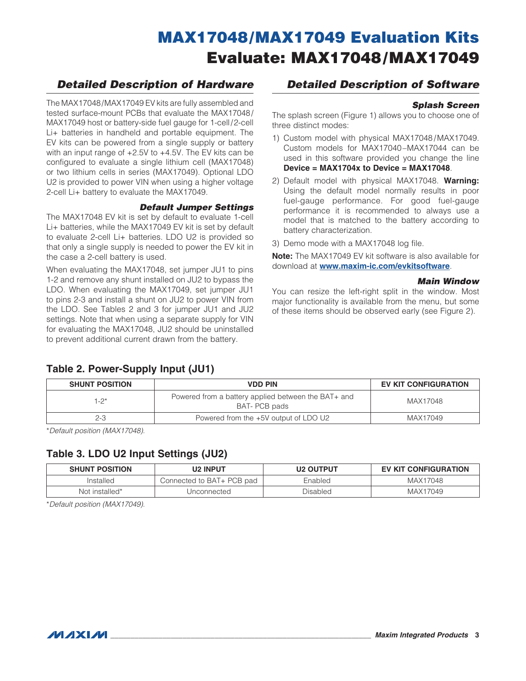### *Detailed Description of Hardware*

The MAX17048/MAX17049 EV kits are fully assembled and tested surface-mount PCBs that evaluate the MAX17048/ MAX17049 host or battery-side fuel gauge for 1-cell/2-cell Li+ batteries in handheld and portable equipment. The EV kits can be powered from a single supply or battery with an input range of +2.5V to +4.5V. The EV kits can be configured to evaluate a single lithium cell (MAX17048) or two lithium cells in series (MAX17049). Optional LDO U2 is provided to power VIN when using a higher voltage 2-cell Li+ battery to evaluate the MAX17049.

#### *Default Jumper Settings*

The MAX17048 EV kit is set by default to evaluate 1-cell Li+ batteries, while the MAX17049 EV kit is set by default to evaluate 2-cell Li+ batteries. LDO U2 is provided so that only a single supply is needed to power the EV kit in the case a 2-cell battery is used.

When evaluating the MAX17048, set jumper JU1 to pins 1-2 and remove any shunt installed on JU2 to bypass the LDO. When evaluating the MAX17049, set jumper JU1 to pins 2-3 and install a shunt on JU2 to power VIN from the LDO. See Tables 2 and 3 for jumper JU1 and JU2 settings. Note that when using a separate supply for VIN for evaluating the MAX17048, JU2 should be uninstalled to prevent additional current drawn from the battery.

### *Detailed Description of Software*

#### *Splash Screen*

The splash screen (Figure 1) allows you to choose one of three distinct modes:

- 1) Custom model with physical MAX17048 /MAX17049. Custom models for MAX17040–MAX17044 can be used in this software provided you change the line Device = MAX1704x to Device = MAX17048.
- 2) Default model with physical MAX17048. Warning: Using the default model normally results in poor fuel-gauge performance. For good fuel-gauge performance it is recommended to always use a model that is matched to the battery according to battery characterization.
- 3) Demo mode with a MAX17048 log file.

Note: The MAX17049 EV kit software is also available for download at **www.maxim-ic.com/evkitsoftware**.

#### *Main Window*

You can resize the left-right split in the window. Most major functionality is available from the menu, but some of these items should be observed early (see Figure 2).

### Table 2. Power-Supply Input (JU1)

| <b>SHUNT POSITION</b><br><b>VDD PIN</b> |                                                                      | EV KIT CONFIGURATION |
|-----------------------------------------|----------------------------------------------------------------------|----------------------|
| $1-2^{*}$                               | Powered from a battery applied between the BAT+ and<br>BAT- PCB pads | MAX17048             |
| $2 - 3$                                 | Powered from the +5V output of LDO U2                                | MAX17049             |

\**Default position (MAX17048).*

### Table 3. LDO U2 Input Settings (JU2)

| <b>SHUNT POSITION</b> | <b>U2 INPUT</b>           | <b>U2 OUTPUT</b> | EV KIT CONFIGURATION |
|-----------------------|---------------------------|------------------|----------------------|
| Installed             | Connected to BAT+ PCB pad | Enabled          | MAX17048             |
| Not installed*        | Unconnected               | Disabled         | MAX17049             |

\**Default position (MAX17049).*

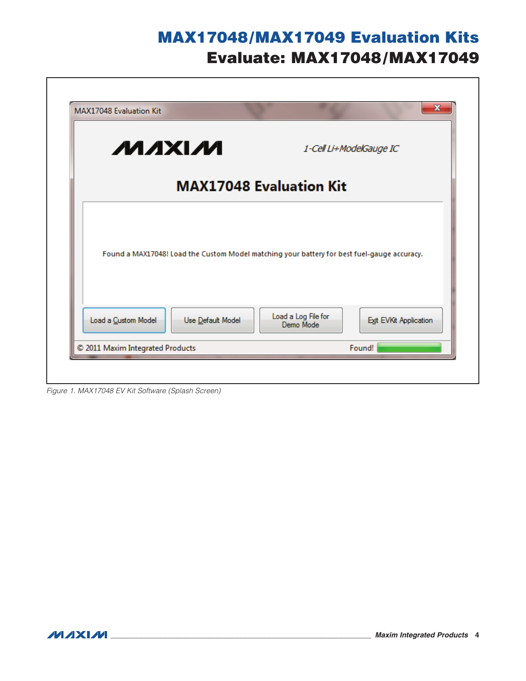| <b>MAXIM</b> | 1-Cell Li+ModelGauge IC                                                                     |
|--------------|---------------------------------------------------------------------------------------------|
|              | <b>MAX17048 Evaluation Kit</b>                                                              |
|              |                                                                                             |
|              | Found a MAX17048! Load the Custom Model matching your battery for best fuel-gauge accuracy. |
|              |                                                                                             |

*Figure 1. MAX17048 EV Kit Software (Splash Screen)*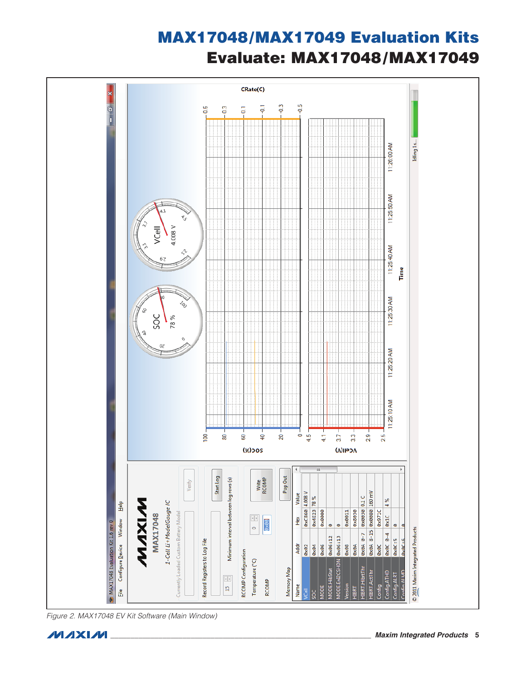

*Figure 2. MAX17048 EV Kit Software (Main Window)*

**MAXM**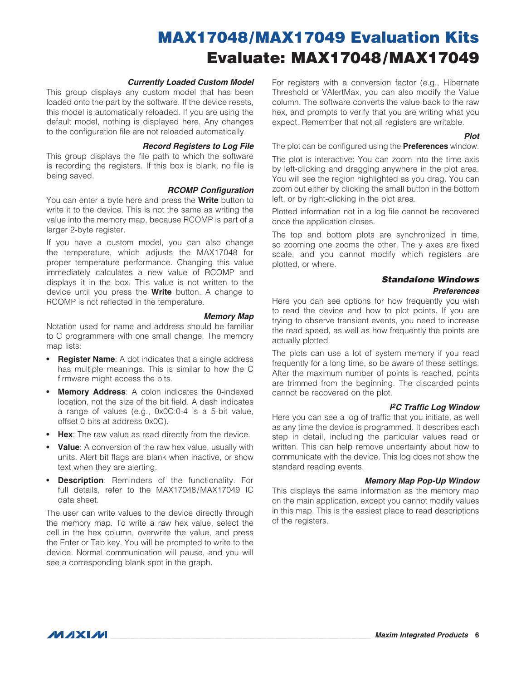#### *Currently Loaded Custom Model*

This group displays any custom model that has been loaded onto the part by the software. If the device resets, this model is automatically reloaded. If you are using the default model, nothing is displayed here. Any changes to the configuration file are not reloaded automatically.

#### *Record Registers to Log File*

This group displays the file path to which the software is recording the registers. If this box is blank, no file is being saved.

#### *RCOMP Configuration*

You can enter a byte here and press the **Write** button to write it to the device. This is not the same as writing the value into the memory map, because RCOMP is part of a larger 2-byte register.

If you have a custom model, you can also change the temperature, which adjusts the MAX17048 for proper temperature performance. Changing this value immediately calculates a new value of RCOMP and displays it in the box. This value is not written to the device until you press the **Write** button. A change to RCOMP is not reflected in the temperature.

### *Memory Map*

Notation used for name and address should be familiar to C programmers with one small change. The memory map lists:

- Register Name: A dot indicates that a single address has multiple meanings. This is similar to how the C firmware might access the bits.
- Memory Address: A colon indicates the 0-indexed location, not the size of the bit field. A dash indicates a range of values (e.g., 0x0C:0-4 is a 5-bit value, offset 0 bits at address 0x0C).
- Hex: The raw value as read directly from the device.
- Value: A conversion of the raw hex value, usually with units. Alert bit flags are blank when inactive, or show text when they are alerting.
- Description: Reminders of the functionality. For full details, refer to the MAX17048/MAX17049 IC data sheet.

The user can write values to the device directly through the memory map. To write a raw hex value, select the cell in the hex column, overwrite the value, and press the Enter or Tab key. You will be prompted to write to the device. Normal communication will pause, and you will see a corresponding blank spot in the graph.

For registers with a conversion factor (e.g., Hibernate Threshold or VAlertMax, you can also modify the Value column. The software converts the value back to the raw hex, and prompts to verify that you are writing what you expect. Remember that not all registers are writable.

#### *Plot*

The plot can be configured using the **Preferences** window.

The plot is interactive: You can zoom into the time axis by left-clicking and dragging anywhere in the plot area. You will see the region highlighted as you drag. You can zoom out either by clicking the small button in the bottom left, or by right-clicking in the plot area.

Plotted information not in a log file cannot be recovered once the application closes.

The top and bottom plots are synchronized in time, so zooming one zooms the other. The y axes are fixed scale, and you cannot modify which registers are plotted, or where.

#### *Standalone Windows*

#### *Preferences*

Here you can see options for how frequently you wish to read the device and how to plot points. If you are trying to observe transient events, you need to increase the read speed, as well as how frequently the points are actually plotted.

The plots can use a lot of system memory if you read frequently for a long time, so be aware of these settings. After the maximum number of points is reached, points are trimmed from the beginning. The discarded points cannot be recovered on the plot.

#### *I2C Traffic Log Window*

Here you can see a log of traffic that you initiate, as well as any time the device is programmed. It describes each step in detail, including the particular values read or written. This can help remove uncertainty about how to communicate with the device. This log does not show the standard reading events.

#### *Memory Map Pop-Up Window*

This displays the same information as the memory map on the main application, except you cannot modify values in this map. This is the easiest place to read descriptions of the registers.

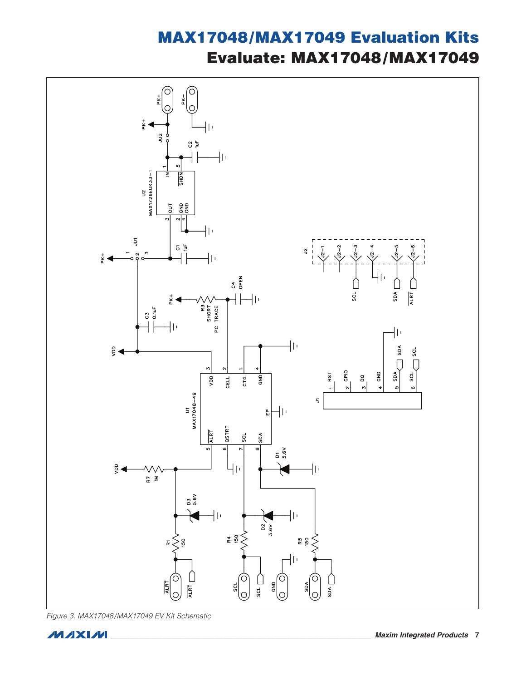

*Figure 3. MAX17048/MAX17049 EV Kit Schematic*

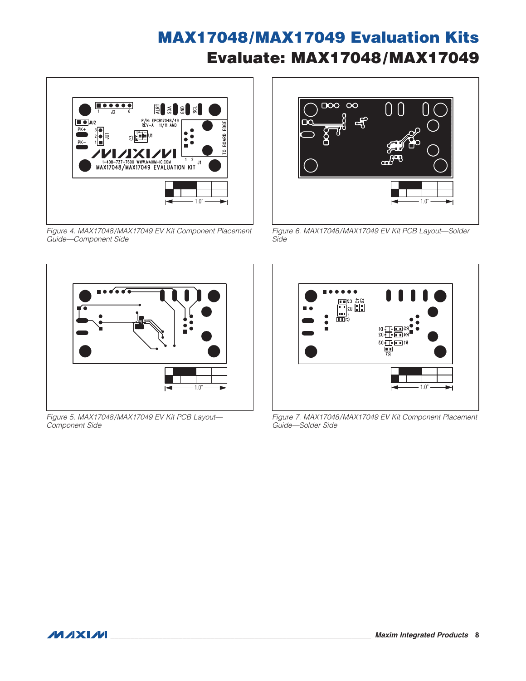

*Figure 4. MAX17048/MAX17049 EV Kit Component Placement Guide—Component Side*



*Figure 6. MAX17048/MAX17049 EV Kit PCB Layout—Solder Side*



*Figure 5. MAX17048/MAX17049 EV Kit PCB Layout— Component Side*



*Figure 7. MAX17048/MAX17049 EV Kit Component Placement Guide—Solder Side*

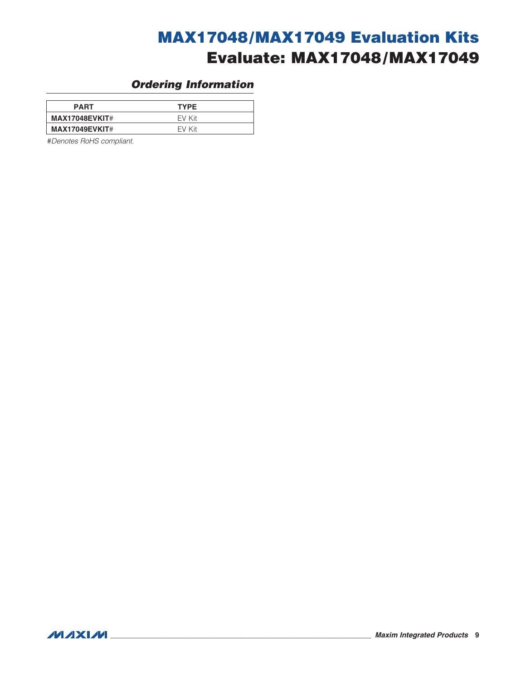## *Ordering Information*

<span id="page-8-0"></span>

| <b>PART</b>           | <b>TYPE</b> |
|-----------------------|-------------|
| <b>MAX17048EVKIT#</b> | FV Kit      |
| <b>MAX17049EVKIT#</b> | FV Kit      |

#*Denotes RoHS compliant.*